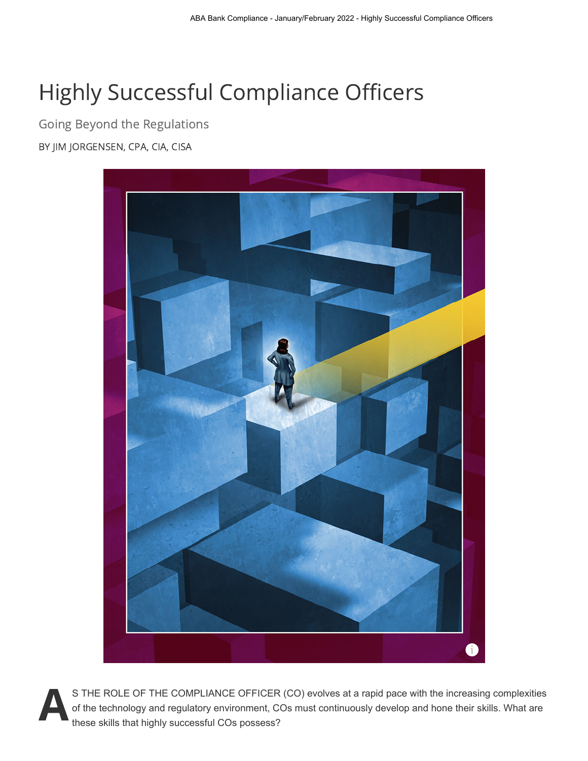# Highly Successful Compliance Officers

Going Beyond the Regulations

BY JIM JORGENSEN, CPA, CIA, CISA



S THE ROLE OF THE COMPLIANCE OFFICER (CO) evolves at a rapid pace with the increasing complexities<br>of the technology and regulatory environment, COs must continuously develop and hone their skills. What are S THE ROLE OF THE COMPLIANCE OFFICER (CO) evolves at a rapid pace with the increasing complexities these skills that highly successful COs possess?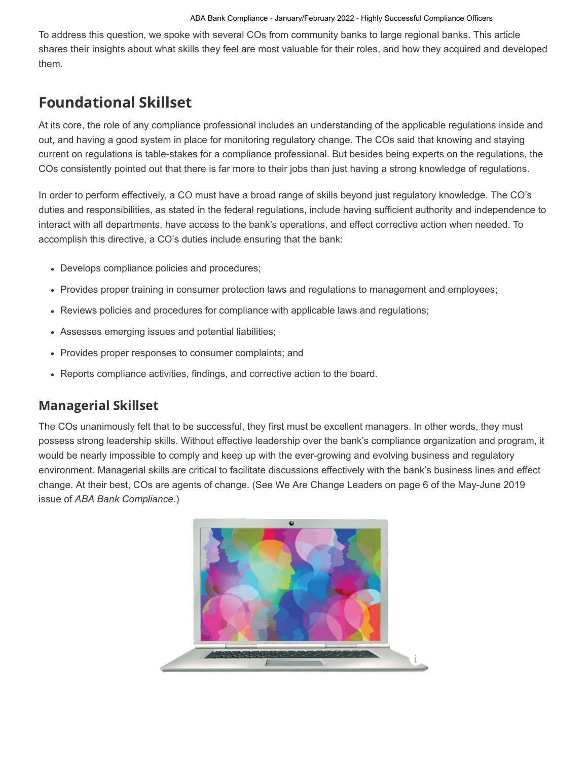To address this question, we spoke with several COs from community banks to large regional banks. This article shares their insights about what skills they feel are most valuable for their roles, and how they acquired and developed them.

# Foundational Skillset

At its core, the role of any compliance professional includes an understanding of the applicable regulations inside and out, and having a good system in place for monitoring regulatory change. The COs said that knowing and staying current on regulations is table-stakes for a compliance professional. But besides being experts on the regulations, the COs consistently pointed out that there is far more to their jobs than just having a strong knowledge of regulations.

In order to perform effectively, a CO must have a broad range of skills beyond just regulatory knowledge. The CO's duties and responsibilities, as stated in the federal regulations, include having sufficient authority and independence to interact with all departments, have access to the bank's operations, and effect corrective action when needed. To accomplish this directive, a CO's duties include ensuring that the bank:

- Develops compliance policies and procedures;
- Provides proper training in consumer protection laws and regulations to management and employees;
- Reviews policies and procedures for compliance with applicable laws and regulations;
- Assesses emerging issues and potential liabilities;
- Provides proper responses to consumer complaints; and
- Reports compliance activities, findings, and corrective action to the board.

#### Managerial Skillset

The COs unanimously felt that to be successful, they first must be excellent managers. In other words, they must possess strong leadership skills. Without effective leadership over the bank's compliance organization and program, it would be nearly impossible to comply and keep up with the ever-growing and evolving business and regulatory environment. Managerial skills are critical to facilitate discussions effectively with the bank's business lines and effect change. At their best, COs are agents of change. (See We Are Change Leaders on page 6 of the May-June 2019 issue of *ABA Bank Compliance*.)

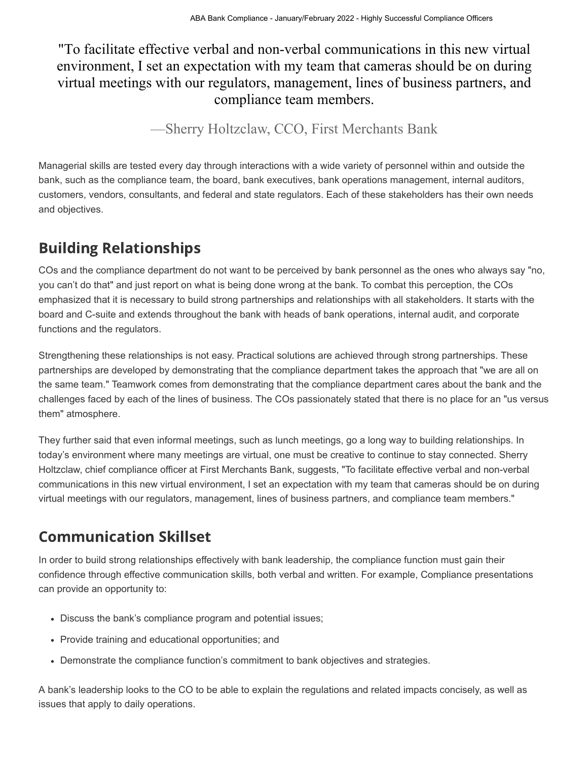### "To facilitate effective verbal and non-verbal communications in this new virtual environment, I set an expectation with my team that cameras should be on during virtual meetings with our regulators, management, lines of business partners, and compliance team members.

—Sherry Holtzclaw, CCO, First Merchants Bank

Managerial skills are tested every day through interactions with a wide variety of personnel within and outside the bank, such as the compliance team, the board, bank executives, bank operations management, internal auditors, customers, vendors, consultants, and federal and state regulators. Each of these stakeholders has their own needs and objectives.

# Building Relationships

COs and the compliance department do not want to be perceived by bank personnel as the ones who always say "no, you can't do that" and just report on what is being done wrong at the bank. To combat this perception, the COs emphasized that it is necessary to build strong partnerships and relationships with all stakeholders. It starts with the board and C-suite and extends throughout the bank with heads of bank operations, internal audit, and corporate functions and the regulators.

Strengthening these relationships is not easy. Practical solutions are achieved through strong partnerships. These partnerships are developed by demonstrating that the compliance department takes the approach that "we are all on the same team." Teamwork comes from demonstrating that the compliance department cares about the bank and the challenges faced by each of the lines of business. The COs passionately stated that there is no place for an "us versus them" atmosphere.

They further said that even informal meetings, such as lunch meetings, go a long way to building relationships. In today's environment where many meetings are virtual, one must be creative to continue to stay connected. Sherry Holtzclaw, chief compliance officer at First Merchants Bank, suggests, "To facilitate effective verbal and non-verbal communications in this new virtual environment, I set an expectation with my team that cameras should be on during virtual meetings with our regulators, management, lines of business partners, and compliance team members."

# Communication Skillset

In order to build strong relationships effectively with bank leadership, the compliance function must gain their confidence through effective communication skills, both verbal and written. For example, Compliance presentations can provide an opportunity to:

- Discuss the bank's compliance program and potential issues;
- Provide training and educational opportunities; and
- Demonstrate the compliance function's commitment to bank objectives and strategies.

A bank's leadership looks to the CO to be able to explain the regulations and related impacts concisely, as well as issues that apply to daily operations.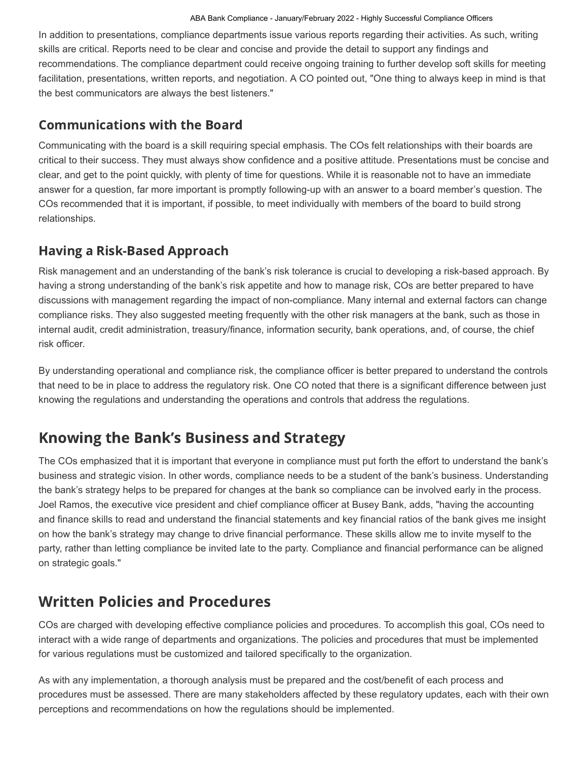In addition to presentations, compliance departments issue various reports regarding their activities. As such, writing skills are critical. Reports need to be clear and concise and provide the detail to support any findings and recommendations. The compliance department could receive ongoing training to further develop soft skills for meeting facilitation, presentations, written reports, and negotiation. A CO pointed out, "One thing to always keep in mind is that the best communicators are always the best listeners."

#### Communications with the Board

Communicating with the board is a skill requiring special emphasis. The COs felt relationships with their boards are critical to their success. They must always show confidence and a positive attitude. Presentations must be concise and clear, and get to the point quickly, with plenty of time for questions. While it is reasonable not to have an immediate answer for a question, far more important is promptly following-up with an answer to a board member's question. The COs recommended that it is important, if possible, to meet individually with members of the board to build strong relationships.

#### Having a Risk-Based Approach

Risk management and an understanding of the bank's risk tolerance is crucial to developing a risk-based approach. By having a strong understanding of the bank's risk appetite and how to manage risk, COs are better prepared to have discussions with management regarding the impact of non-compliance. Many internal and external factors can change compliance risks. They also suggested meeting frequently with the other risk managers at the bank, such as those in internal audit, credit administration, treasury/finance, information security, bank operations, and, of course, the chief risk officer.

By understanding operational and compliance risk, the compliance officer is better prepared to understand the controls that need to be in place to address the regulatory risk. One CO noted that there is a significant difference between just knowing the regulations and understanding the operations and controls that address the regulations.

# Knowing the Bank's Business and Strategy

The COs emphasized that it is important that everyone in compliance must put forth the effort to understand the bank's business and strategic vision. In other words, compliance needs to be a student of the bank's business. Understanding the bank's strategy helps to be prepared for changes at the bank so compliance can be involved early in the process. Joel Ramos, the executive vice president and chief compliance officer at Busey Bank, adds, "having the accounting and finance skills to read and understand the financial statements and key financial ratios of the bank gives me insight on how the bank's strategy may change to drive financial performance. These skills allow me to invite myself to the party, rather than letting compliance be invited late to the party. Compliance and financial performance can be aligned on strategic goals."

# Written Policies and Procedures

COs are charged with developing effective compliance policies and procedures. To accomplish this goal, COs need to interact with a wide range of departments and organizations. The policies and procedures that must be implemented for various regulations must be customized and tailored specifically to the organization.

As with any implementation, a thorough analysis must be prepared and the cost/benefit of each process and procedures must be assessed. There are many stakeholders affected by these regulatory updates, each with their own perceptions and recommendations on how the regulations should be implemented.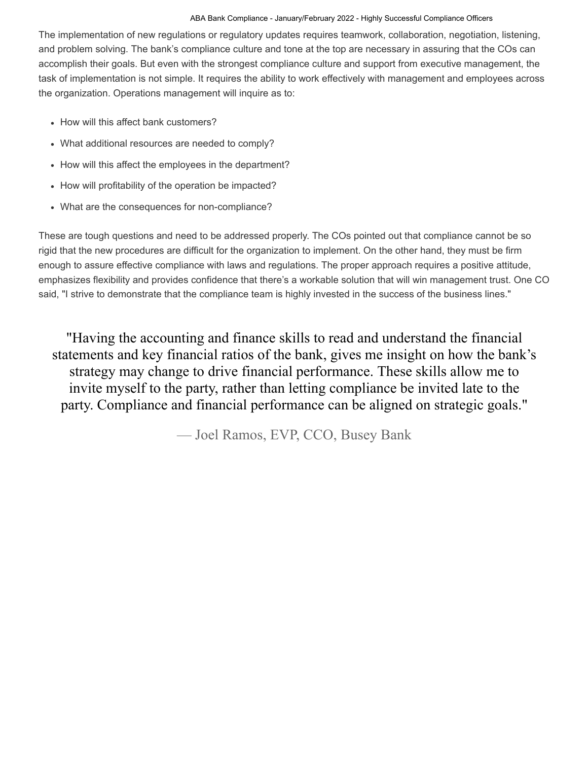The implementation of new regulations or regulatory updates requires teamwork, collaboration, negotiation, listening, and problem solving. The bank's compliance culture and tone at the top are necessary in assuring that the COs can accomplish their goals. But even with the strongest compliance culture and support from executive management, the task of implementation is not simple. It requires the ability to work effectively with management and employees across the organization. Operations management will inquire as to:

- How will this affect bank customers?
- What additional resources are needed to comply?
- How will this affect the employees in the department?
- How will profitability of the operation be impacted?
- What are the consequences for non-compliance?

These are tough questions and need to be addressed properly. The COs pointed out that compliance cannot be so rigid that the new procedures are difficult for the organization to implement. On the other hand, they must be firm enough to assure effective compliance with laws and regulations. The proper approach requires a positive attitude, emphasizes flexibility and provides confidence that there's a workable solution that will win management trust. One CO said, "I strive to demonstrate that the compliance team is highly invested in the success of the business lines."

"Having the accounting and finance skills to read and understand the financial statements and key financial ratios of the bank, gives me insight on how the bank's strategy may change to drive financial performance. These skills allow me to invite myself to the party, rather than letting compliance be invited late to the party. Compliance and financial performance can be aligned on strategic goals."

— Joel Ramos, EVP, CCO, Busey Bank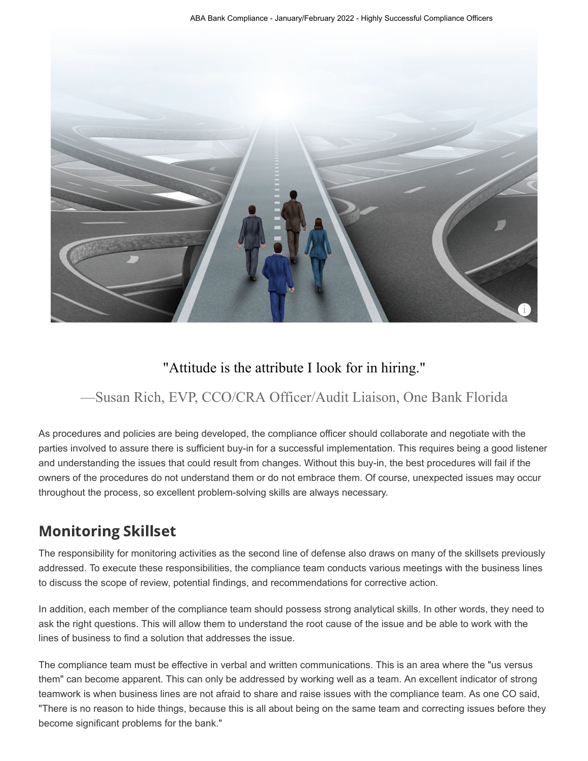

#### "Attitude is the attribute I look for in hiring."

### —Susan Rich, EVP, CCO/CRA Officer/Audit Liaison, One Bank Florida

As procedures and policies are being developed, the compliance officer should collaborate and negotiate with the parties involved to assure there is sufficient buy-in for a successful implementation. This requires being a good listener and understanding the issues that could result from changes. Without this buy-in, the best procedures will fail if the owners of the procedures do not understand them or do not embrace them. Of course, unexpected issues may occur throughout the process, so excellent problem-solving skills are always necessary.

# Monitoring Skillset

The responsibility for monitoring activities as the second line of defense also draws on many of the skillsets previously addressed. To execute these responsibilities, the compliance team conducts various meetings with the business lines to discuss the scope of review, potential findings, and recommendations for corrective action.

In addition, each member of the compliance team should possess strong analytical skills. In other words, they need to ask the right questions. This will allow them to understand the root cause of the issue and be able to work with the lines of business to find a solution that addresses the issue.

The compliance team must be effective in verbal and written communications. This is an area where the "us versus them" can become apparent. This can only be addressed by working well as a team. An excellent indicator of strong teamwork is when business lines are not afraid to share and raise issues with the compliance team. As one CO said, "There is no reason to hide things, because this is all about being on the same team and correcting issues before they become significant problems for the bank."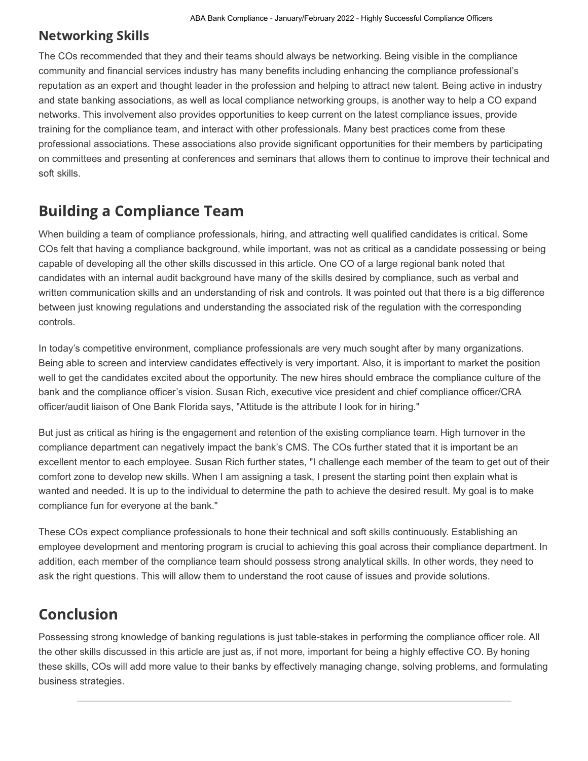#### Networking Skills

The COs recommended that they and their teams should always be networking. Being visible in the compliance community and financial services industry has many benefits including enhancing the compliance professional's reputation as an expert and thought leader in the profession and helping to attract new talent. Being active in industry and state banking associations, as well as local compliance networking groups, is another way to help a CO expand networks. This involvement also provides opportunities to keep current on the latest compliance issues, provide training for the compliance team, and interact with other professionals. Many best practices come from these professional associations. These associations also provide significant opportunities for their members by participating on committees and presenting at conferences and seminars that allows them to continue to improve their technical and soft skills.

### Building a Compliance Team

When building a team of compliance professionals, hiring, and attracting well qualified candidates is critical. Some COs felt that having a compliance background, while important, was not as critical as a candidate possessing or being capable of developing all the other skills discussed in this article. One CO of a large regional bank noted that candidates with an internal audit background have many of the skills desired by compliance, such as verbal and written communication skills and an understanding of risk and controls. It was pointed out that there is a big difference between just knowing regulations and understanding the associated risk of the regulation with the corresponding controls.

In today's competitive environment, compliance professionals are very much sought after by many organizations. Being able to screen and interview candidates effectively is very important. Also, it is important to market the position well to get the candidates excited about the opportunity. The new hires should embrace the compliance culture of the bank and the compliance officer's vision. Susan Rich, executive vice president and chief compliance officer/CRA officer/audit liaison of One Bank Florida says, "Attitude is the attribute I look for in hiring."

But just as critical as hiring is the engagement and retention of the existing compliance team. High turnover in the compliance department can negatively impact the bank's CMS. The COs further stated that it is important be an excellent mentor to each employee. Susan Rich further states, "I challenge each member of the team to get out of their comfort zone to develop new skills. When I am assigning a task, I present the starting point then explain what is wanted and needed. It is up to the individual to determine the path to achieve the desired result. My goal is to make compliance fun for everyone at the bank."

These COs expect compliance professionals to hone their technical and soft skills continuously. Establishing an employee development and mentoring program is crucial to achieving this goal across their compliance department. In addition, each member of the compliance team should possess strong analytical skills. In other words, they need to ask the right questions. This will allow them to understand the root cause of issues and provide solutions.

# Conclusion

Possessing strong knowledge of banking regulations is just table-stakes in performing the compliance officer role. All the other skills discussed in this article are just as, if not more, important for being a highly effective CO. By honing these skills, COs will add more value to their banks by effectively managing change, solving problems, and formulating business strategies.